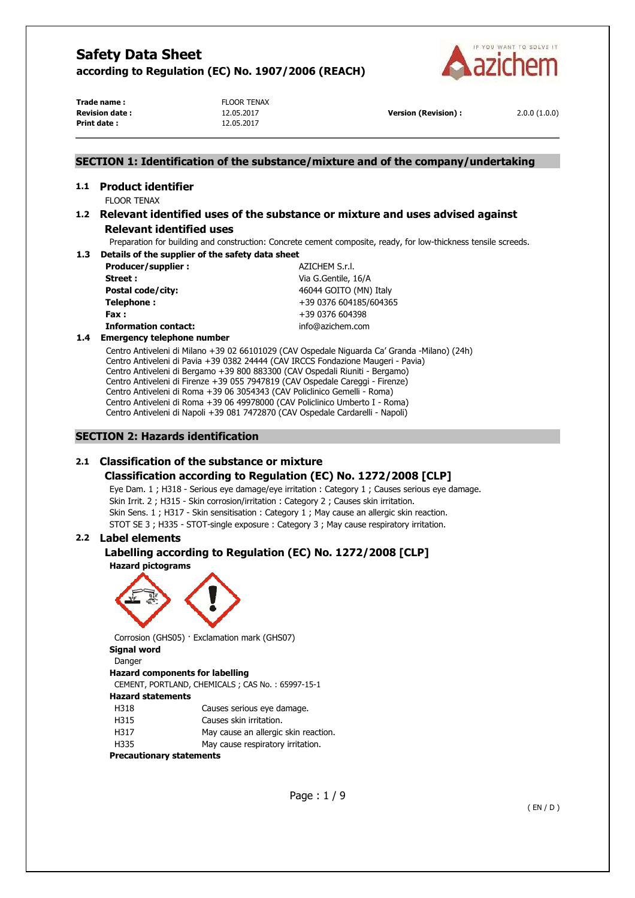

**Trade name :** FLOOR TENAX **Print date :** 12.05.2017

**Revision date :** 12.05.2017 **Version (Revision) :** 2.0.0 (1.0.0)

# **SECTION 1: Identification of the substance/mixture and of the company/undertaking**

# **1.1 Product identifier**

FLOOR TENAX

# **1.2 Relevant identified uses of the substance or mixture and uses advised against Relevant identified uses**

Preparation for building and construction: Concrete cement composite, ready, for low-thickness tensile screeds.

**1.3 Details of the supplier of the safety data sheet Producer/supplier :**  $AZICHEM S.r.l.$ **Street :** Via G.Gentile, 16/A

**Postal code/city:**  $46044 \text{ GOITO (MN) Italy}$ **Telephone :**  $+39\,0376\,604185/604365$ **Fax :** +39 0376 604398 **Information contact:** info@azichem.com

# **1.4 Emergency telephone number**

Centro Antiveleni di Milano +39 02 66101029 (CAV Ospedale Niguarda Ca' Granda -Milano) (24h) Centro Antiveleni di Pavia +39 0382 24444 (CAV IRCCS Fondazione Maugeri - Pavia) Centro Antiveleni di Bergamo +39 800 883300 (CAV Ospedali Riuniti - Bergamo) Centro Antiveleni di Firenze +39 055 7947819 (CAV Ospedale Careggi - Firenze) Centro Antiveleni di Roma +39 06 3054343 (CAV Policlinico Gemelli - Roma) Centro Antiveleni di Roma +39 06 49978000 (CAV Policlinico Umberto I - Roma) Centro Antiveleni di Napoli +39 081 7472870 (CAV Ospedale Cardarelli - Napoli)

# **SECTION 2: Hazards identification**

# **2.1 Classification of the substance or mixture**

# **Classification according to Regulation (EC) No. 1272/2008 [CLP]**

Eye Dam. 1 ; H318 - Serious eye damage/eye irritation : Category 1 ; Causes serious eye damage. Skin Irrit. 2 ; H315 - Skin corrosion/irritation : Category 2 ; Causes skin irritation. Skin Sens. 1 ; H317 - Skin sensitisation : Category 1 ; May cause an allergic skin reaction. STOT SE 3 ; H335 - STOT-single exposure : Category 3 ; May cause respiratory irritation.

# **2.2 Label elements**

### **Labelling according to Regulation (EC) No. 1272/2008 [CLP] Hazard pictograms**



Corrosion (GHS05) · Exclamation mark (GHS07) **Signal word** 

Danger **Hazard components for labelling**  CEMENT, PORTLAND, CHEMICALS ; CAS No. : 65997-15-1 **Hazard statements**  H318 Causes serious eye damage. H315 Causes skin irritation.

- H317 May cause an allergic skin reaction.
- H335 May cause respiratory irritation.

**Precautionary statements**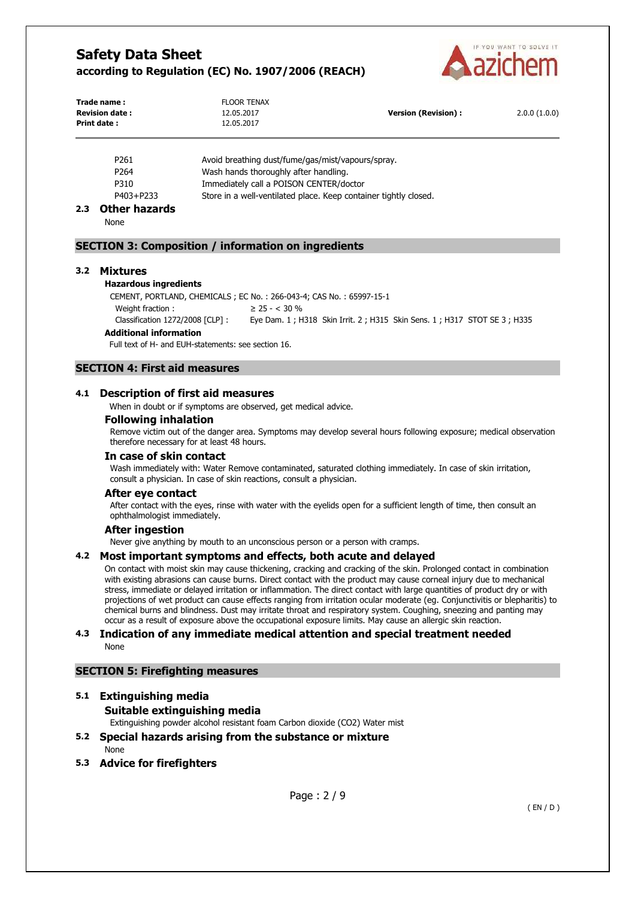

| Trade name:<br><b>Revision date:</b><br><b>Print date:</b> | <b>FLOOR TENAX</b><br>12.05.2017<br>12.05.2017 | <b>Version (Revision):</b> | 2.0.0(1.0.0) |
|------------------------------------------------------------|------------------------------------------------|----------------------------|--------------|
|                                                            |                                                |                            |              |

| P <sub>261</sub> | Avoid breathing dust/fume/gas/mist/vapours/spray.                |
|------------------|------------------------------------------------------------------|
| P <sub>264</sub> | Wash hands thoroughly after handling.                            |
| P310             | Immediately call a POISON CENTER/doctor                          |
| P403+P233        | Store in a well-ventilated place. Keep container tightly closed. |

# **2.3 Other hazards**

None

### **SECTION 3: Composition / information on ingredients**

### **3.2 Mixtures**

### **Hazardous ingredients**

CEMENT, PORTLAND, CHEMICALS ; EC No. : 266-043-4; CAS No. : 65997-15-1 Weight fraction :  $\geq 25 -  $30\%$$ Classification 1272/2008 [CLP] : Eye Dam. 1 ; H318 Skin Irrit. 2 ; H315 Skin Sens. 1 ; H317 STOT SE 3 ; H335

### **Additional information**

Full text of H- and EUH-statements: see section 16.

# **SECTION 4: First aid measures**

### **4.1 Description of first aid measures**

When in doubt or if symptoms are observed, get medical advice.

### **Following inhalation**

Remove victim out of the danger area. Symptoms may develop several hours following exposure; medical observation therefore necessary for at least 48 hours.

### **In case of skin contact**

Wash immediately with: Water Remove contaminated, saturated clothing immediately. In case of skin irritation, consult a physician. In case of skin reactions, consult a physician.

### **After eye contact**

After contact with the eyes, rinse with water with the eyelids open for a sufficient length of time, then consult an ophthalmologist immediately.

### **After ingestion**

Never give anything by mouth to an unconscious person or a person with cramps.

### **4.2 Most important symptoms and effects, both acute and delayed**

On contact with moist skin may cause thickening, cracking and cracking of the skin. Prolonged contact in combination with existing abrasions can cause burns. Direct contact with the product may cause corneal injury due to mechanical stress, immediate or delayed irritation or inflammation. The direct contact with large quantities of product dry or with projections of wet product can cause effects ranging from irritation ocular moderate (eg. Conjunctivitis or blepharitis) to chemical burns and blindness. Dust may irritate throat and respiratory system. Coughing, sneezing and panting may occur as a result of exposure above the occupational exposure limits. May cause an allergic skin reaction.

### **4.3 Indication of any immediate medical attention and special treatment needed**  None

### **SECTION 5: Firefighting measures**

# **5.1 Extinguishing media**

# **Suitable extinguishing media**

Extinguishing powder alcohol resistant foam Carbon dioxide (CO2) Water mist

# **5.2 Special hazards arising from the substance or mixture**

None

**5.3 Advice for firefighters**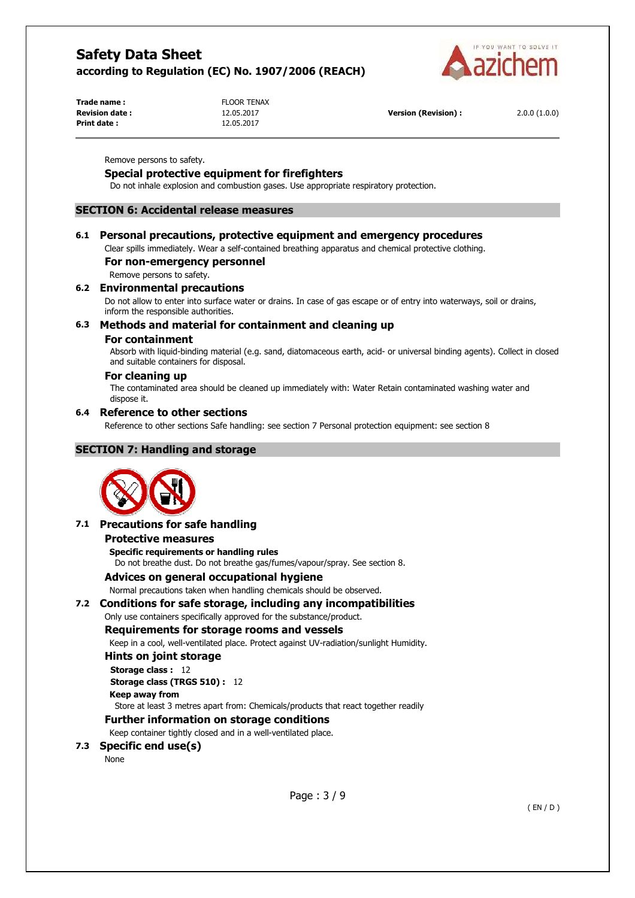

**Trade name :** FLOOR TENAX **Print date :** 12.05.2017

**Revision date :** 12.05.2017 **Version (Revision) :** 2.0.0 (1.0.0)

Remove persons to safety.

# **Special protective equipment for firefighters**

Do not inhale explosion and combustion gases. Use appropriate respiratory protection.

### **SECTION 6: Accidental release measures**

# **6.1 Personal precautions, protective equipment and emergency procedures**

Clear spills immediately. Wear a self-contained breathing apparatus and chemical protective clothing.

### **For non-emergency personnel**

Remove persons to safety.

### **6.2 Environmental precautions**

Do not allow to enter into surface water or drains. In case of gas escape or of entry into waterways, soil or drains, inform the responsible authorities.

# **6.3 Methods and material for containment and cleaning up**

### **For containment**

Absorb with liquid-binding material (e.g. sand, diatomaceous earth, acid- or universal binding agents). Collect in closed and suitable containers for disposal.

### **For cleaning up**

The contaminated area should be cleaned up immediately with: Water Retain contaminated washing water and dispose it.

### **6.4 Reference to other sections**

Reference to other sections Safe handling: see section 7 Personal protection equipment: see section 8

# **SECTION 7: Handling and storage**



# **7.1 Precautions for safe handling**

#### **Protective measures**

**Specific requirements or handling rules**  Do not breathe dust. Do not breathe gas/fumes/vapour/spray. See section 8.

# **Advices on general occupational hygiene**

Normal precautions taken when handling chemicals should be observed.

### **7.2 Conditions for safe storage, including any incompatibilities**

Only use containers specifically approved for the substance/product.

### **Requirements for storage rooms and vessels**

Keep in a cool, well-ventilated place. Protect against UV-radiation/sunlight Humidity.

### **Hints on joint storage**

**Storage class :** 12 **Storage class (TRGS 510) :** 12

**Keep away from** 

Store at least 3 metres apart from: Chemicals/products that react together readily

### **Further information on storage conditions**

Keep container tightly closed and in a well-ventilated place.

# **7.3 Specific end use(s)**

None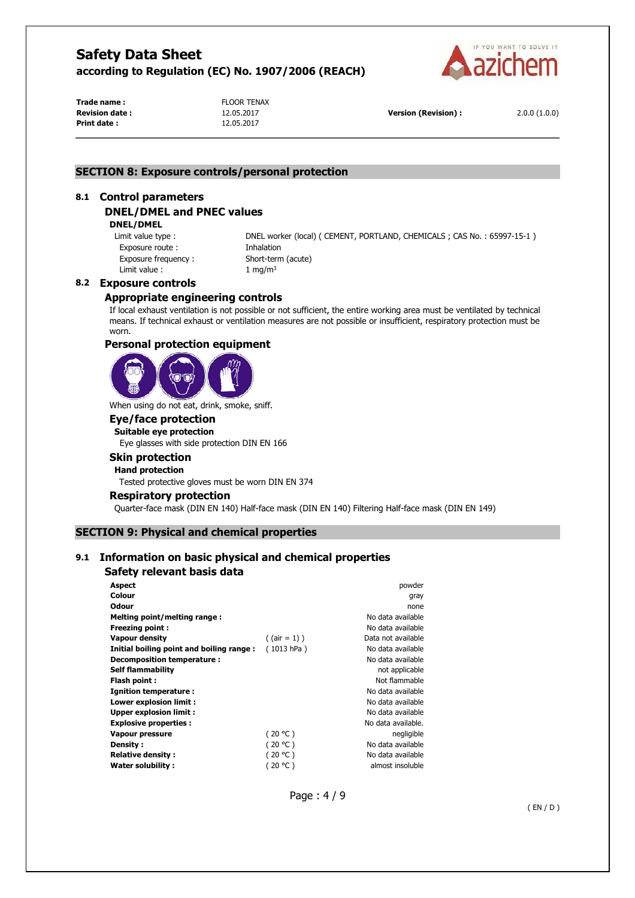

Trade name : **FLOOR TENAX Print date :** 12.05.2017

**Revision date :** 12.05.2017 **Version (Revision) :** 2.0.0 (1.0.0)

# **SECTION 8: Exposure controls/personal protection**

### **8.1 Control parameters**

# **DNEL/DMEL and PNEC values**

### **DNEL/DMEL**

Exposure route : Thhalation Exposure frequency : Short-term (acute) Limit value :  $1 \text{ mg/m}^3$ 

Limit value type : DNEL worker (local) ( CEMENT, PORTLAND, CHEMICALS ; CAS No. : 65997-15-1 )

### **8.2 Exposure controls**

### **Appropriate engineering controls**

If local exhaust ventilation is not possible or not sufficient, the entire working area must be ventilated by technical means. If technical exhaust or ventilation measures are not possible or insufficient, respiratory protection must be worn.

### **Personal protection equipment**



When using do not eat, drink, smoke, sniff.

# **Eye/face protection**

**Suitable eye protection**  Eye glasses with side protection DIN EN 166

# **Skin protection**

# **Hand protection**

Tested protective gloves must be worn DIN EN 374

### **Respiratory protection**

Quarter-face mask (DIN EN 140) Half-face mask (DIN EN 140) Filtering Half-face mask (DIN EN 149)

# **SECTION 9: Physical and chemical properties**

# **9.1 Information on basic physical and chemical properties**

### **Safety relevant basis data**

| <b>Aspect</b>                            |                 | powder             |
|------------------------------------------|-----------------|--------------------|
| Colour                                   |                 | gray               |
| Odour                                    |                 | none               |
| Melting point/melting range:             |                 | No data available  |
| <b>Freezing point:</b>                   |                 | No data available  |
| <b>Vapour density</b>                    | $($ (air = 1) ) | Data not available |
| Initial boiling point and boiling range: | (1013 hPa)      | No data available  |
| Decomposition temperature :              |                 | No data available  |
| <b>Self flammability</b>                 |                 | not applicable     |
| Flash point:                             |                 | Not flammable      |
| <b>Ignition temperature:</b>             |                 | No data available  |
| Lower explosion limit :                  |                 | No data available  |
| <b>Upper explosion limit:</b>            |                 | No data available  |
| <b>Explosive properties:</b>             |                 | No data available. |
| Vapour pressure                          | (20 °C)         | negligible         |
| Density:                                 | (20 °C)         | No data available  |
| <b>Relative density:</b>                 | (20 °C)         | No data available  |
| <b>Water solubility:</b>                 | (20 °C)         | almost insoluble   |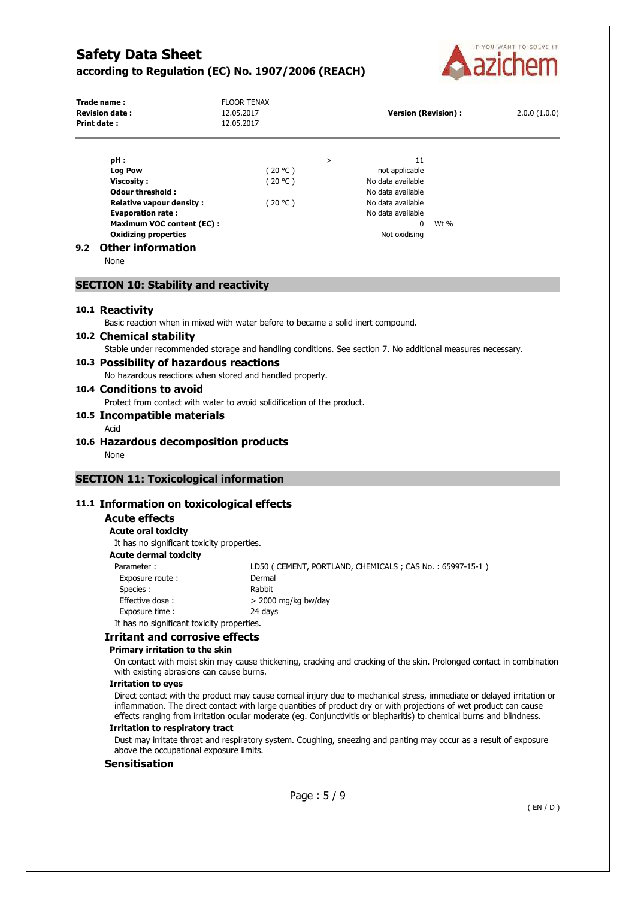

|     | Trade name:<br><b>Revision date:</b><br>Print date: | <b>FLOOR TENAX</b><br>12.05.2017<br>12.05.2017 |        | <b>Version (Revision):</b> |      | 2.0.0(1.0.0) |
|-----|-----------------------------------------------------|------------------------------------------------|--------|----------------------------|------|--------------|
|     | pH:                                                 |                                                | $\geq$ | 11                         |      |              |
|     | <b>Log Pow</b>                                      | (20 °C )                                       |        | not applicable             |      |              |
|     |                                                     |                                                |        |                            |      |              |
|     | Viscosity:                                          | (20 °C )                                       |        | No data available          |      |              |
|     | <b>Odour threshold:</b>                             |                                                |        | No data available          |      |              |
|     | <b>Relative vapour density:</b>                     | (20 °C )                                       |        | No data available          |      |              |
|     | <b>Evaporation rate:</b>                            |                                                |        | No data available          |      |              |
|     | <b>Maximum VOC content (EC):</b>                    |                                                |        | 0                          | Wt % |              |
|     | <b>Oxidizing properties</b>                         |                                                |        | Not oxidising              |      |              |
| 9.2 | <b>Other information</b>                            |                                                |        |                            |      |              |

### None

### **SECTION 10: Stability and reactivity**

### **10.1 Reactivity**

Basic reaction when in mixed with water before to became a solid inert compound.

### **10.2 Chemical stability**

Stable under recommended storage and handling conditions. See section 7. No additional measures necessary.

### **10.3 Possibility of hazardous reactions**

No hazardous reactions when stored and handled properly.

### **10.4 Conditions to avoid**

Protect from contact with water to avoid solidification of the product.

### **10.5 Incompatible materials**

Acid

# **10.6 Hazardous decomposition products**

None

### **SECTION 11: Toxicological information**

### **11.1 Information on toxicological effects**

### **Acute effects**

**Acute oral toxicity** 

It has no significant toxicity properties.

# **Acute dermal toxicity**

Parameter : LD50 ( CEMENT, PORTLAND, CHEMICALS ; CAS No. : 65997-15-1 ) Exposure route : Dermal Species : Rabbit Effective dose :  $> 2000$  mg/kg bw/day Exposure time : 24 days It has no significant toxicity properties.

#### **Irritant and corrosive effects**

#### **Primary irritation to the skin**

On contact with moist skin may cause thickening, cracking and cracking of the skin. Prolonged contact in combination with existing abrasions can cause burns.

#### **Irritation to eyes**

Direct contact with the product may cause corneal injury due to mechanical stress, immediate or delayed irritation or inflammation. The direct contact with large quantities of product dry or with projections of wet product can cause effects ranging from irritation ocular moderate (eg. Conjunctivitis or blepharitis) to chemical burns and blindness.

#### **Irritation to respiratory tract**

Dust may irritate throat and respiratory system. Coughing, sneezing and panting may occur as a result of exposure above the occupational exposure limits.

### **Sensitisation**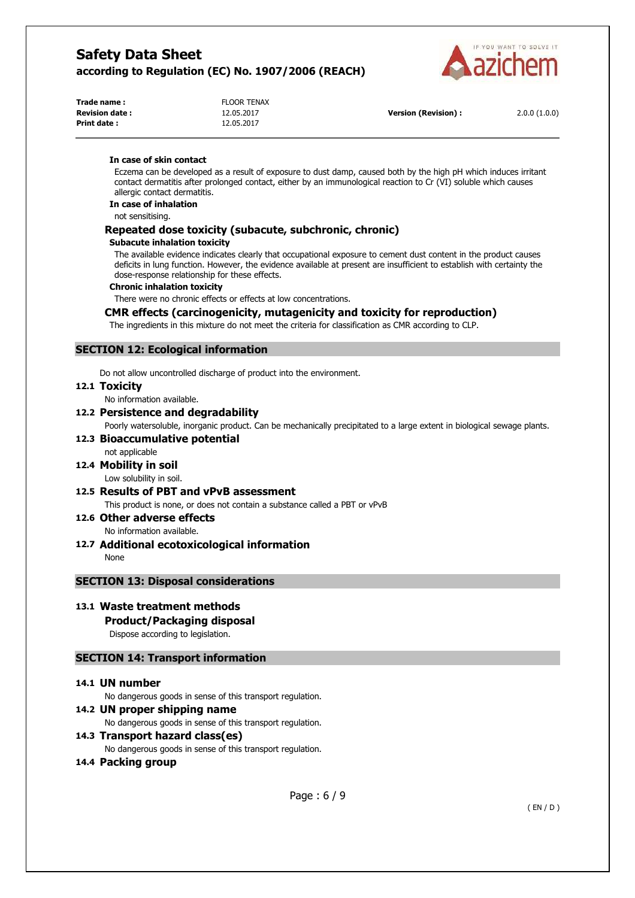

| <b>FLOOR TENAX</b> |
|--------------------|
| 12.05.2017         |
| 12.05.2017         |
|                    |

**Version (Revision) :** 2.0.0 (1.0.0)

### **In case of skin contact**

Eczema can be developed as a result of exposure to dust damp, caused both by the high pH which induces irritant contact dermatitis after prolonged contact, either by an immunological reaction to Cr (VI) soluble which causes allergic contact dermatitis.

**In case of inhalation** 

not sensitising.

# **Repeated dose toxicity (subacute, subchronic, chronic)**

### **Subacute inhalation toxicity**

The available evidence indicates clearly that occupational exposure to cement dust content in the product causes deficits in lung function. However, the evidence available at present are insufficient to establish with certainty the dose-response relationship for these effects.

### **Chronic inhalation toxicity**

There were no chronic effects or effects at low concentrations.

### **CMR effects (carcinogenicity, mutagenicity and toxicity for reproduction)**

The ingredients in this mixture do not meet the criteria for classification as CMR according to CLP.

# **SECTION 12: Ecological information**

Do not allow uncontrolled discharge of product into the environment.

### **12.1 Toxicity**

No information available.

### **12.2 Persistence and degradability**

Poorly watersoluble, inorganic product. Can be mechanically precipitated to a large extent in biological sewage plants.

### **12.3 Bioaccumulative potential**  not applicable

**12.4 Mobility in soil** 

Low solubility in soil.

**12.5 Results of PBT and vPvB assessment**  This product is none, or does not contain a substance called a PBT or vPvB

# **12.6 Other adverse effects**

No information available.

# **12.7 Additional ecotoxicological information**

None

# **SECTION 13: Disposal considerations**

# **13.1 Waste treatment methods**

# **Product/Packaging disposal**

Dispose according to legislation.

# **SECTION 14: Transport information**

# **14.1 UN number**

No dangerous goods in sense of this transport regulation.

# **14.2 UN proper shipping name**

No dangerous goods in sense of this transport regulation.

# **14.3 Transport hazard class(es)**

No dangerous goods in sense of this transport regulation.

# **14.4 Packing group**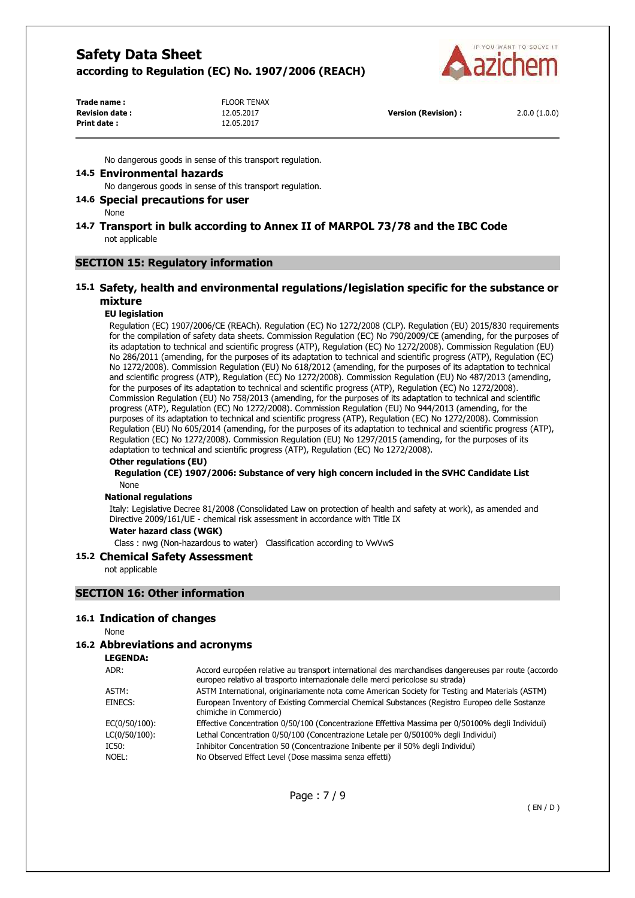

**Trade name :** FLOOR TENAX **Print date :** 12.05.2017

**Revision date :** 12.05.2017 **Version (Revision) :** 2.0.0 (1.0.0)

No dangerous goods in sense of this transport regulation.

### **14.5 Environmental hazards**

No dangerous goods in sense of this transport regulation.

### **14.6 Special precautions for user**

None

**14.7 Transport in bulk according to Annex II of MARPOL 73/78 and the IBC Code**  not applicable

### **SECTION 15: Regulatory information**

# **15.1 Safety, health and environmental regulations/legislation specific for the substance or mixture**

#### **EU legislation**

Regulation (EC) 1907/2006/CE (REACh). Regulation (EC) No 1272/2008 (CLP). Regulation (EU) 2015/830 requirements for the compilation of safety data sheets. Commission Regulation (EC) No 790/2009/CE (amending, for the purposes of its adaptation to technical and scientific progress (ATP), Regulation (EC) No 1272/2008). Commission Regulation (EU) No 286/2011 (amending, for the purposes of its adaptation to technical and scientific progress (ATP), Regulation (EC) No 1272/2008). Commission Regulation (EU) No 618/2012 (amending, for the purposes of its adaptation to technical and scientific progress (ATP), Regulation (EC) No 1272/2008). Commission Regulation (EU) No 487/2013 (amending, for the purposes of its adaptation to technical and scientific progress (ATP), Regulation (EC) No 1272/2008). Commission Regulation (EU) No 758/2013 (amending, for the purposes of its adaptation to technical and scientific progress (ATP), Regulation (EC) No 1272/2008). Commission Regulation (EU) No 944/2013 (amending, for the purposes of its adaptation to technical and scientific progress (ATP), Regulation (EC) No 1272/2008). Commission Regulation (EU) No 605/2014 (amending, for the purposes of its adaptation to technical and scientific progress (ATP), Regulation (EC) No 1272/2008). Commission Regulation (EU) No 1297/2015 (amending, for the purposes of its adaptation to technical and scientific progress (ATP), Regulation (EC) No 1272/2008).

### **Other regulations (EU)**

**Regulation (CE) 1907/2006: Substance of very high concern included in the SVHC Candidate List**  None

### **National regulations**

Italy: Legislative Decree 81/2008 (Consolidated Law on protection of health and safety at work), as amended and Directive 2009/161/UE - chemical risk assessment in accordance with Title IX

# **Water hazard class (WGK)**

Class : nwg (Non-hazardous to water) Classification according to VwVwS

#### **15.2 Chemical Safety Assessment**

not applicable

### **SECTION 16: Other information**

#### **16.1 Indication of changes**

None

#### **16.2 Abbreviations and acronyms**

**LEGENDA:**

| ADR:             | Accord européen relative au transport international des marchandises dangereuses par route (accordo<br>europeo relativo al trasporto internazionale delle merci pericolose su strada) |
|------------------|---------------------------------------------------------------------------------------------------------------------------------------------------------------------------------------|
| ASTM:            | ASTM International, originariamente nota come American Society for Testing and Materials (ASTM)                                                                                       |
| EINECS:          | European Inventory of Existing Commercial Chemical Substances (Registro Europeo delle Sostanze<br>chimiche in Commercio)                                                              |
| $EC(0/50/100)$ : | Effective Concentration 0/50/100 (Concentrazione Effettiva Massima per 0/50100% degli Individui)                                                                                      |
| $LC(0/50/100)$ : | Lethal Concentration 0/50/100 (Concentrazione Letale per 0/50100% degli Individui)                                                                                                    |
| IC50:            | Inhibitor Concentration 50 (Concentrazione Inibente per il 50% degli Individui)                                                                                                       |
| NOEL:            | No Observed Effect Level (Dose massima senza effetti)                                                                                                                                 |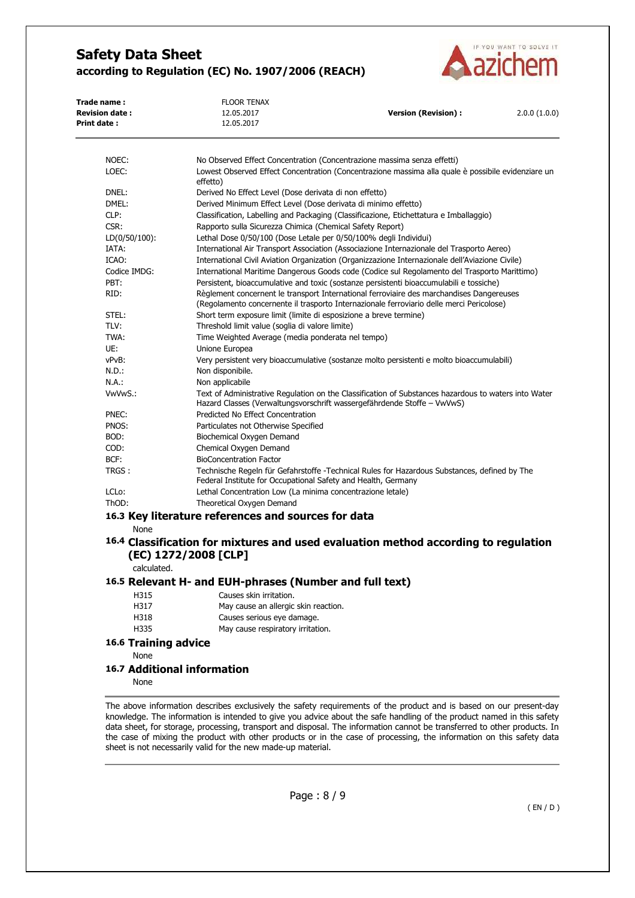

| <b>Revision date:</b><br>Print date:       | 12.05.2017                                                                                                                                                                           |                                                                                                                                                                                 |              |  |
|--------------------------------------------|--------------------------------------------------------------------------------------------------------------------------------------------------------------------------------------|---------------------------------------------------------------------------------------------------------------------------------------------------------------------------------|--------------|--|
|                                            |                                                                                                                                                                                      | <b>Version (Revision):</b>                                                                                                                                                      | 2.0.0(1.0.0) |  |
|                                            | 12.05.2017                                                                                                                                                                           |                                                                                                                                                                                 |              |  |
| NOEC:                                      |                                                                                                                                                                                      | No Observed Effect Concentration (Concentrazione massima senza effetti)                                                                                                         |              |  |
| LOEC:                                      | effetto)                                                                                                                                                                             | Lowest Observed Effect Concentration (Concentrazione massima alla quale è possibile evidenziare un                                                                              |              |  |
| DNEL:                                      | Derived No Effect Level (Dose derivata di non effetto)                                                                                                                               |                                                                                                                                                                                 |              |  |
| DMEL:                                      | Derived Minimum Effect Level (Dose derivata di minimo effetto)                                                                                                                       |                                                                                                                                                                                 |              |  |
| CLP:                                       |                                                                                                                                                                                      | Classification, Labelling and Packaging (Classificazione, Etichettatura e Imballaggio)                                                                                          |              |  |
| CSR:                                       | Rapporto sulla Sicurezza Chimica (Chemical Safety Report)                                                                                                                            |                                                                                                                                                                                 |              |  |
| $LD(0/50/100)$ :                           | Lethal Dose 0/50/100 (Dose Letale per 0/50/100% degli Individui)                                                                                                                     |                                                                                                                                                                                 |              |  |
| IATA:                                      |                                                                                                                                                                                      | International Air Transport Association (Associazione Internazionale del Trasporto Aereo)                                                                                       |              |  |
| ICAO:                                      |                                                                                                                                                                                      | International Civil Aviation Organization (Organizzazione Internazionale dell'Aviazione Civile)                                                                                 |              |  |
| Codice IMDG:                               |                                                                                                                                                                                      | International Maritime Dangerous Goods code (Codice sul Regolamento del Trasporto Marittimo)                                                                                    |              |  |
| PBT:                                       |                                                                                                                                                                                      | Persistent, bioaccumulative and toxic (sostanze persistenti bioaccumulabili e tossiche)                                                                                         |              |  |
| RID:                                       | Règlement concernent le transport International ferroviaire des marchandises Dangereuses<br>(Regolamento concernente il trasporto Internazionale ferroviario delle merci Pericolose) |                                                                                                                                                                                 |              |  |
| STEL:                                      | Short term exposure limit (limite di esposizione a breve termine)                                                                                                                    |                                                                                                                                                                                 |              |  |
| TLV:                                       | Threshold limit value (soglia di valore limite)                                                                                                                                      |                                                                                                                                                                                 |              |  |
| TWA:                                       | Time Weighted Average (media ponderata nel tempo)                                                                                                                                    |                                                                                                                                                                                 |              |  |
| UE:                                        | Unione Europea                                                                                                                                                                       |                                                                                                                                                                                 |              |  |
| vPvB:                                      |                                                                                                                                                                                      | Very persistent very bioaccumulative (sostanze molto persistenti e molto bioaccumulabili)                                                                                       |              |  |
| $N.D.$ :                                   | Non disponibile.                                                                                                                                                                     |                                                                                                                                                                                 |              |  |
| N.A.:                                      | Non applicabile                                                                                                                                                                      |                                                                                                                                                                                 |              |  |
| VwVwS.:                                    |                                                                                                                                                                                      | Text of Administrative Regulation on the Classification of Substances hazardous to waters into Water<br>Hazard Classes (Verwaltungsvorschrift wassergefährdende Stoffe - VwVwS) |              |  |
| PNEC:                                      | Predicted No Effect Concentration                                                                                                                                                    |                                                                                                                                                                                 |              |  |
| PNOS:                                      | Particulates not Otherwise Specified                                                                                                                                                 |                                                                                                                                                                                 |              |  |
| BOD:                                       | Biochemical Oxygen Demand                                                                                                                                                            |                                                                                                                                                                                 |              |  |
| COD:                                       | Chemical Oxygen Demand                                                                                                                                                               |                                                                                                                                                                                 |              |  |
| BCF:                                       | <b>BioConcentration Factor</b>                                                                                                                                                       |                                                                                                                                                                                 |              |  |
| TRGS :                                     | Federal Institute for Occupational Safety and Health, Germany                                                                                                                        | Technische Regeln für Gefahrstoffe -Technical Rules for Hazardous Substances, defined by The                                                                                    |              |  |
| LCL <sub>o</sub> :                         | Lethal Concentration Low (La minima concentrazione letale)                                                                                                                           |                                                                                                                                                                                 |              |  |
| ThOD:                                      | Theoretical Oxygen Demand                                                                                                                                                            |                                                                                                                                                                                 |              |  |
|                                            | 16.3 Key literature references and sources for data                                                                                                                                  |                                                                                                                                                                                 |              |  |
|                                            |                                                                                                                                                                                      |                                                                                                                                                                                 |              |  |
| None                                       |                                                                                                                                                                                      | 16.4 Classification for mixtures and used evaluation method according to regulation                                                                                             |              |  |
|                                            | (EC) 1272/2008 [CLP]                                                                                                                                                                 |                                                                                                                                                                                 |              |  |
| calculated.                                |                                                                                                                                                                                      |                                                                                                                                                                                 |              |  |
|                                            | 16.5 Relevant H- and EUH-phrases (Number and full text)                                                                                                                              |                                                                                                                                                                                 |              |  |
| H315                                       | Causes skin irritation.                                                                                                                                                              |                                                                                                                                                                                 |              |  |
| H317                                       | May cause an allergic skin reaction.                                                                                                                                                 |                                                                                                                                                                                 |              |  |
| H318                                       | Causes serious eye damage.                                                                                                                                                           |                                                                                                                                                                                 |              |  |
| H335                                       | May cause respiratory irritation.                                                                                                                                                    |                                                                                                                                                                                 |              |  |
| 16.6 Training advice                       |                                                                                                                                                                                      |                                                                                                                                                                                 |              |  |
|                                            |                                                                                                                                                                                      |                                                                                                                                                                                 |              |  |
| None<br><b>16.7 Additional information</b> |                                                                                                                                                                                      |                                                                                                                                                                                 |              |  |

None

The above information describes exclusively the safety requirements of the product and is based on our present-day knowledge. The information is intended to give you advice about the safe handling of the product named in this safety data sheet, for storage, processing, transport and disposal. The information cannot be transferred to other products. In the case of mixing the product with other products or in the case of processing, the information on this safety data sheet is not necessarily valid for the new made-up material.